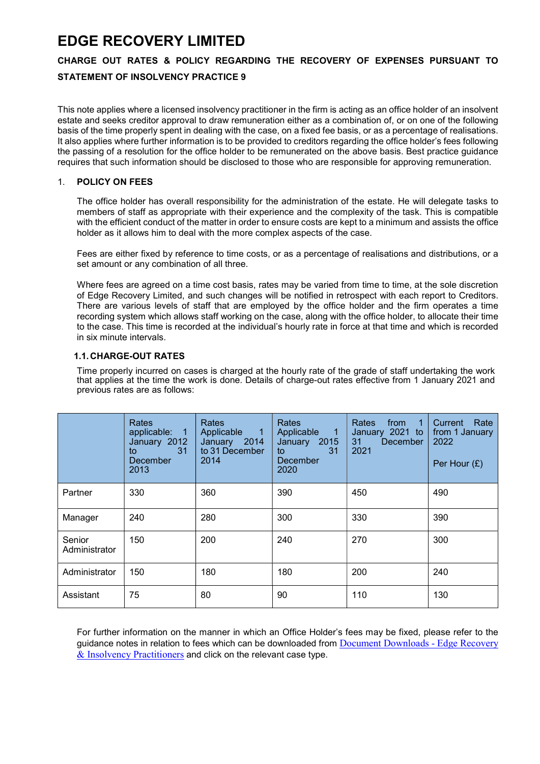# EDGE RECOVERY LIMITED

## CHARGE OUT RATES & POLICY REGARDING THE RECOVERY OF EXPENSES PURSUANT TO

## STATEMENT OF INSOLVENCY PRACTICE 9

This note applies where a licensed insolvency practitioner in the firm is acting as an office holder of an insolvent estate and seeks creditor approval to draw remuneration either as a combination of, or on one of the following basis of the time properly spent in dealing with the case, on a fixed fee basis, or as a percentage of realisations. It also applies where further information is to be provided to creditors regarding the office holder's fees following the passing of a resolution for the office holder to be remunerated on the above basis. Best practice guidance requires that such information should be disclosed to those who are responsible for approving remuneration.

## 1. POLICY ON FEES

The office holder has overall responsibility for the administration of the estate. He will delegate tasks to members of staff as appropriate with their experience and the complexity of the task. This is compatible with the efficient conduct of the matter in order to ensure costs are kept to a minimum and assists the office holder as it allows him to deal with the more complex aspects of the case.

Fees are either fixed by reference to time costs, or as a percentage of realisations and distributions, or a set amount or any combination of all three.

Where fees are agreed on a time cost basis, rates may be varied from time to time, at the sole discretion of Edge Recovery Limited, and such changes will be notified in retrospect with each report to Creditors. There are various levels of staff that are employed by the office holder and the firm operates a time recording system which allows staff working on the case, along with the office holder, to allocate their time to the case. This time is recorded at the individual's hourly rate in force at that time and which is recorded in six minute intervals.

## 1.1. CHARGE-OUT RATES

Time properly incurred on cases is charged at the hourly rate of the grade of staff undertaking the work that applies at the time the work is done. Details of charge-out rates effective from 1 January 2021 and previous rates are as follows:

|                         | <b>Rates</b><br>applicable: 1<br>January 2012<br>31 <sup>2</sup><br>to<br>December<br>2013 | <b>Rates</b><br>Applicable<br>$\blacksquare$ 1<br>January 2014<br>to 31 December<br>2014 | <b>Rates</b><br>Applicable<br>$\blacksquare$ 1<br>January 2015<br>31<br>to<br>December<br>2020 | Rates<br>from<br>$\overline{1}$<br>January 2021 to<br>31 <sup>2</sup><br>December<br>2021 | Rate<br>Current<br>from 1 January<br>2022<br>Per Hour $(E)$ |
|-------------------------|--------------------------------------------------------------------------------------------|------------------------------------------------------------------------------------------|------------------------------------------------------------------------------------------------|-------------------------------------------------------------------------------------------|-------------------------------------------------------------|
| Partner                 | 330                                                                                        | 360                                                                                      | 390                                                                                            | 450                                                                                       | 490                                                         |
| Manager                 | 240                                                                                        | 280                                                                                      | 300                                                                                            | 330                                                                                       | 390                                                         |
| Senior<br>Administrator | 150                                                                                        | 200                                                                                      | 240                                                                                            | 270                                                                                       | 300                                                         |
| Administrator           | 150                                                                                        | 180                                                                                      | 180                                                                                            | 200                                                                                       | 240                                                         |
| Assistant               | 75                                                                                         | 80                                                                                       | 90                                                                                             | 110                                                                                       | 130                                                         |

For further information on the manner in which an Office Holder's fees may be fixed, please refer to the guidance notes in relation to fees which can be downloaded from Document Downloads - Edge Recovery & Insolvency Practitioners and click on the relevant case type.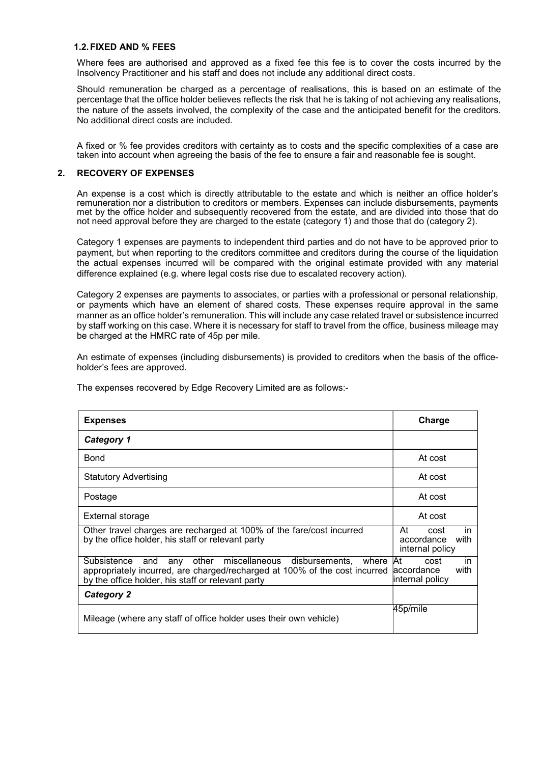#### 1.2. FIXED AND % FEES

Where fees are authorised and approved as a fixed fee this fee is to cover the costs incurred by the Insolvency Practitioner and his staff and does not include any additional direct costs.

Should remuneration be charged as a percentage of realisations, this is based on an estimate of the percentage that the office holder believes reflects the risk that he is taking of not achieving any realisations, the nature of the assets involved, the complexity of the case and the anticipated benefit for the creditors. No additional direct costs are included.

A fixed or % fee provides creditors with certainty as to costs and the specific complexities of a case are taken into account when agreeing the basis of the fee to ensure a fair and reasonable fee is sought.

### 2. RECOVERY OF EXPENSES

An expense is a cost which is directly attributable to the estate and which is neither an office holder's remuneration nor a distribution to creditors or members. Expenses can include disbursements, payments met by the office holder and subsequently recovered from the estate, and are divided into those that do not need approval before they are charged to the estate (category 1) and those that do (category 2).

Category 1 expenses are payments to independent third parties and do not have to be approved prior to payment, but when reporting to the creditors committee and creditors during the course of the liquidation the actual expenses incurred will be compared with the original estimate provided with any material difference explained (e.g. where legal costs rise due to escalated recovery action).

Category 2 expenses are payments to associates, or parties with a professional or personal relationship, or payments which have an element of shared costs. These expenses require approval in the same manner as an office holder's remuneration. This will include any case related travel or subsistence incurred by staff working on this case. Where it is necessary for staff to travel from the office, business mileage may be charged at the HMRC rate of 45p per mile.

An estimate of expenses (including disbursements) is provided to creditors when the basis of the officeholder's fees are approved.

| <b>Expenses</b>                                                                                                                                                                                             | Charge                                                       |
|-------------------------------------------------------------------------------------------------------------------------------------------------------------------------------------------------------------|--------------------------------------------------------------|
| <b>Category 1</b>                                                                                                                                                                                           |                                                              |
| Bond                                                                                                                                                                                                        | At cost                                                      |
| <b>Statutory Advertising</b>                                                                                                                                                                                | At cost                                                      |
| Postage                                                                                                                                                                                                     | At cost                                                      |
| External storage                                                                                                                                                                                            | At cost                                                      |
| Other travel charges are recharged at 100% of the fare/cost incurred<br>by the office holder, his staff or relevant party                                                                                   | At<br>in<br>cost<br>accordance<br>with<br>internal policy    |
| other miscellaneous disbursements,<br>Subsistence<br>where<br>and<br>any<br>appropriately incurred, are charged/recharged at 100% of the cost incurred<br>by the office holder, his staff or relevant party | Иt<br>cost<br>in.<br>with<br>laccordance<br>linternal policy |
| <b>Category 2</b>                                                                                                                                                                                           |                                                              |
| Mileage (where any staff of office holder uses their own vehicle)                                                                                                                                           | 45p/mile                                                     |

The expenses recovered by Edge Recovery Limited are as follows:-